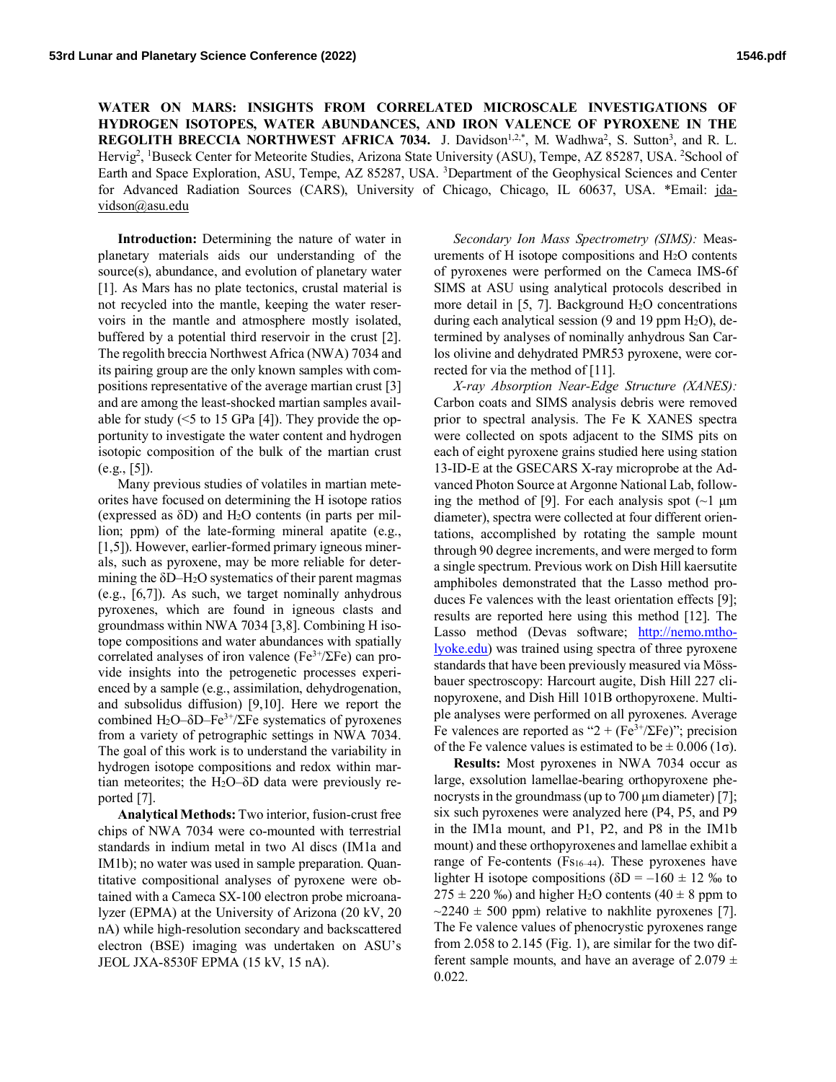**WATER ON MARS: INSIGHTS FROM CORRELATED MICROSCALE INVESTIGATIONS OF HYDROGEN ISOTOPES, WATER ABUNDANCES, AND IRON VALENCE OF PYROXENE IN THE REGOLITH BRECCIA NORTHWEST AFRICA 7034.** J. Davidson<sup>1,2,\*</sup>, M. Wadhwa<sup>2</sup>, S. Sutton<sup>3</sup>, and R. L. Hervig<sup>2</sup>, <sup>1</sup>Buseck Center for Meteorite Studies, Arizona State University (ASU), Tempe, AZ 85287, USA. <sup>2</sup>School of Earth and Space Exploration, ASU, Tempe, AZ 85287, USA. <sup>3</sup>Department of the Geophysical Sciences and Center for Advanced Radiation Sources (CARS), University of Chicago, Chicago, IL 60637, USA. \*Email: jdavidson@asu.edu

**Introduction:** Determining the nature of water in planetary materials aids our understanding of the source(s), abundance, and evolution of planetary water [1]. As Mars has no plate tectonics, crustal material is not recycled into the mantle, keeping the water reservoirs in the mantle and atmosphere mostly isolated, buffered by a potential third reservoir in the crust [2]. The regolith breccia Northwest Africa (NWA) 7034 and its pairing group are the only known samples with compositions representative of the average martian crust [3] and are among the least-shocked martian samples available for study  $(5 \times 15 \text{ GPa} [4])$ . They provide the opportunity to investigate the water content and hydrogen isotopic composition of the bulk of the martian crust  $(e.g., [5])$ .

Many previous studies of volatiles in martian meteorites have focused on determining the H isotope ratios (expressed as  $\delta D$ ) and H<sub>2</sub>O contents (in parts per million; ppm) of the late-forming mineral apatite (e.g., [1,5]). However, earlier-formed primary igneous minerals, such as pyroxene, may be more reliable for determining the  $\delta$ D–H<sub>2</sub>O systematics of their parent magmas (e.g., [6,7]). As such, we target nominally anhydrous pyroxenes, which are found in igneous clasts and groundmass within NWA 7034 [3,8]. Combining H isotope compositions and water abundances with spatially correlated analyses of iron valence ( $Fe^{3+}/\Sigma Fe$ ) can provide insights into the petrogenetic processes experienced by a sample (e.g., assimilation, dehydrogenation, and subsolidus diffusion) [9,10]. Here we report the combined H<sub>2</sub>O–δD–Fe<sup>3+</sup>/ΣFe systematics of pyroxenes from a variety of petrographic settings in NWA 7034. The goal of this work is to understand the variability in hydrogen isotope compositions and redox within martian meteorites; the H2O–δD data were previously reported [7].

**Analytical Methods:** Two interior, fusion-crust free chips of NWA 7034 were co-mounted with terrestrial standards in indium metal in two Al discs (IM1a and IM1b); no water was used in sample preparation. Quantitative compositional analyses of pyroxene were obtained with a Cameca SX-100 electron probe microanalyzer (EPMA) at the University of Arizona (20 kV, 20 nA) while high-resolution secondary and backscattered electron (BSE) imaging was undertaken on ASU's JEOL JXA-8530F EPMA (15 kV, 15 nA).

*Secondary Ion Mass Spectrometry (SIMS):* Measurements of H isotope compositions and H2O contents of pyroxenes were performed on the Cameca IMS-6f SIMS at ASU using analytical protocols described in more detail in  $[5, 7]$ . Background  $H<sub>2</sub>O$  concentrations during each analytical session  $(9 \text{ and } 19 \text{ ppm H}_2\text{O})$ , determined by analyses of nominally anhydrous San Carlos olivine and dehydrated PMR53 pyroxene, were corrected for via the method of [11].

*X-ray Absorption Near-Edge Structure (XANES):* Carbon coats and SIMS analysis debris were removed prior to spectral analysis. The Fe K XANES spectra were collected on spots adjacent to the SIMS pits on each of eight pyroxene grains studied here using station 13-ID-E at the GSECARS X-ray microprobe at the Advanced Photon Source at Argonne National Lab, following the method of [9]. For each analysis spot  $(\sim]$  µm diameter), spectra were collected at four different orientations, accomplished by rotating the sample mount through 90 degree increments, and were merged to form a single spectrum. Previous work on Dish Hill kaersutite amphiboles demonstrated that the Lasso method produces Fe valences with the least orientation effects [9]; results are reported here using this method [12]. The Lasso method (Devas software; http://nemo.mtholyoke.edu) was trained using spectra of three pyroxene standards that have been previously measured via Mössbauer spectroscopy: Harcourt augite, Dish Hill 227 clinopyroxene, and Dish Hill 101B orthopyroxene. Multiple analyses were performed on all pyroxenes. Average Fe valences are reported as "2 +  $(Fe^{3+}/\Sigma Fe)$ "; precision of the Fe valence values is estimated to be  $\pm$  0.006 (1 $\sigma$ ).

**Results:** Most pyroxenes in NWA 7034 occur as large, exsolution lamellae-bearing orthopyroxene phenocrysts in the groundmass (up to  $700 \mu m$  diameter) [7]; six such pyroxenes were analyzed here (P4, P5, and P9 in the IM1a mount, and P1, P2, and P8 in the IM1b mount) and these orthopyroxenes and lamellae exhibit a range of Fe-contents (F<sub>S16–44</sub>). These pyroxenes have lighter H isotope compositions ( $\delta D = -160 \pm 12$  ‰ to  $275 \pm 220$  ‰) and higher H<sub>2</sub>O contents (40  $\pm$  8 ppm to  $\sim$ 2240  $\pm$  500 ppm) relative to nakhlite pyroxenes [7]. The Fe valence values of phenocrystic pyroxenes range from 2.058 to 2.145 (Fig. 1), are similar for the two different sample mounts, and have an average of 2.079  $\pm$ 0.022.